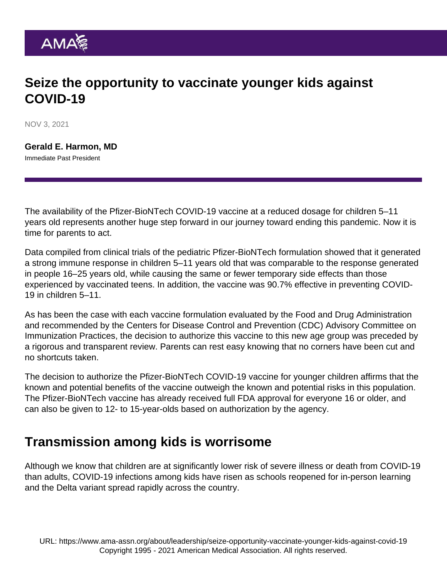## Seize the opportunity to vaccinate younger kids against COVID-19

NOV 3, 2021

[Gerald E. Harmon, MD](https://www.ama-assn.org/about/board-trustees/gerald-e-harmon-md) Immediate Past President

The availability of the Pfizer-BioNTech COVID-19 vaccine at a reduced dosage for children 5–11 years old represents another huge step forward in our journey toward ending this pandemic. Now it is time for parents to act.

Data compiled from clinical trials of the pediatric Pfizer-BioNTech formulation showed that it generated a strong immune response in children 5–11 years old that was comparable to the response generated in people 16–25 years old, while causing the same or fewer temporary side effects than those experienced by vaccinated teens. In addition, the vaccine was 90.7% effective in preventing COVID-19 in children 5–11.

As has been the case with each vaccine formulation evaluated by the Food and Drug Administration and recommended by the Centers for Disease Control and Prevention (CDC) Advisory Committee on Immunization Practices, the decision to authorize this vaccine to this new age group was preceded by a rigorous and transparent review. Parents can rest easy knowing that no corners have been cut and no shortcuts taken.

The decision to authorize the Pfizer-BioNTech COVID-19 vaccine for younger children affirms that the known and potential benefits of the vaccine outweigh the known and potential risks in this population. The Pfizer-BioNTech vaccine has already received full FDA approval for everyone 16 or older, and can also be given to 12- to 15-year-olds based on authorization by the agency.

## Transmission among kids is worrisome

Although we know that children are at significantly lower risk of severe illness or death from COVID-19 than adults, COVID-19 infections among kids have risen as schools reopened for in-person learning and the Delta variant spread rapidly across the country.